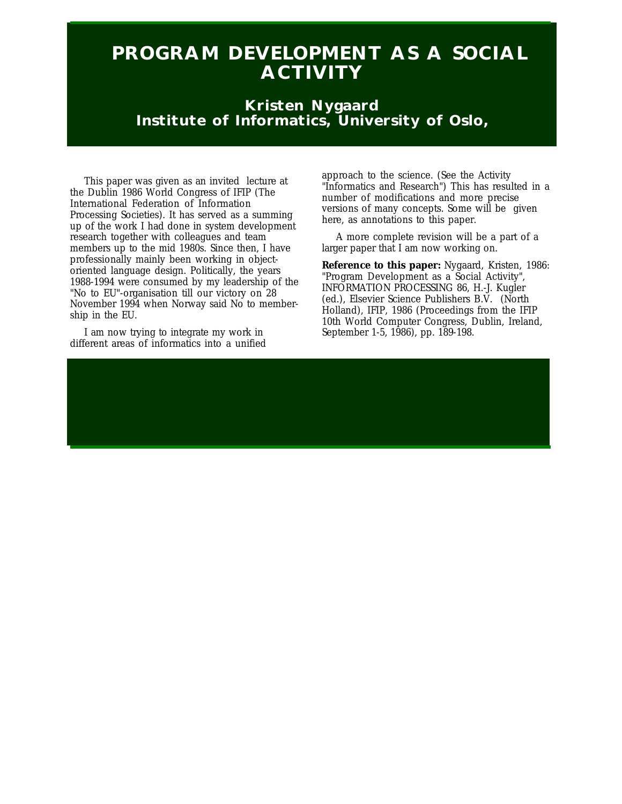# **PROGRAM DEVELOPMENT AS A SOCIAL ACTIVITY**

## **Kristen Nygaard Institute of Informatics, University of Oslo,**

This paper was given as an invited lecture at the Dublin 1986 World Congress of IFIP (The International Federation of Information Processing Societies). It has served as a summing up of the work I had done in system development research together with colleagues and team members up to the mid 1980s. Since then, I have professionally mainly been working in objectoriented language design. Politically, the years 1988-1994 were consumed by my leadership of the "No to EU"-organisation till our victory on 28 November 1994 when Norway said No to membership in the EU.

I am now trying to integrate my work in different areas of informatics into a unified approach to the science. (See the Activity "Informatics and Research") This has resulted in a number of modifications and more precise versions of many concepts. Some will be given here, as annotations to this paper.

A more complete revision will be a part of a larger paper that I am now working on.

**Reference to this paper:** Nygaard, Kristen, 1986: "Program Development as a Social Activity", INFORMATION PROCESSING 86, H.-J. Kugler (ed.), Elsevier Science Publishers B.V. (North Holland), IFIP, 1986 (Proceedings from the IFIP 10th World Computer Congress, Dublin, Ireland, September 1-5, 1986), pp. 189-198.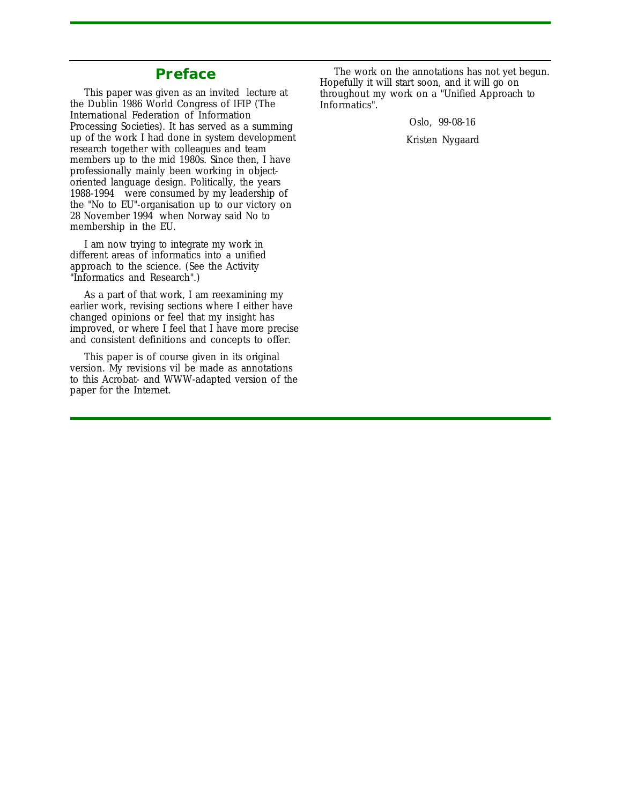### **Preface**

This paper was given as an invited lecture at the Dublin 1986 World Congress of IFIP (The International Federation of Information Processing Societies). It has served as a summing up of the work I had done in system development research together with colleagues and team members up to the mid 1980s. Since then, I have professionally mainly been working in objectoriented language design. Politically, the years 1988-1994 were consumed by my leadership of the "No to EU"-organisation up to our victory on 28 November 1994 when Norway said No to membership in the EU.

I am now trying to integrate my work in different areas of informatics into a unified approach to the science. (See the Activity "Informatics and Research".)

As a part of that work, I am reexamining my earlier work, revising sections where I either have changed opinions or feel that my insight has improved, or where I feel that I have more precise and consistent definitions and concepts to offer.

This paper is of course given in its original version. My revisions vil be made as annotations to this Acrobat- and WWW-adapted version of the paper for the Internet.

The work on the annotations has not yet begun. Hopefully it will start soon, and it will go on throughout my work on a "Unified Approach to Informatics".

Oslo, 99-08-16

Kristen Nygaard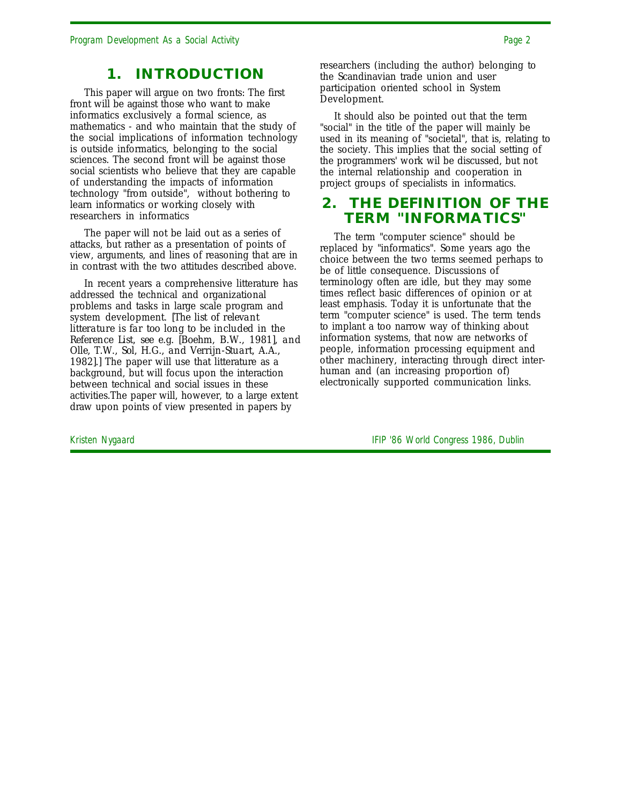### **1. INTRODUCTION**

This paper will argue on two fronts: The first front will be against those who want to make informatics exclusively a formal science, as mathematics - and who maintain that the study of the social implications of information technology is outside informatics, belonging to the social sciences. The second front will be against those social scientists who believe that they are capable of understanding the impacts of information technology "from outside", without bothering to learn informatics or working closely with researchers in informatics

The paper will not be laid out as a series of attacks, but rather as a presentation of points of view, arguments, and lines of reasoning that are in in contrast with the two attitudes described above.

In recent years a comprehensive litterature has addressed the technical and organizational problems and tasks in large scale program and system development. *[The list of relevant litterature is far too long to be included in the Reference List, see e.g. [Boehm, B.W., 1981], and Olle, T.W., Sol, H.G., and Verrijn-Stuart, A.A.,* 1982].] The paper will use that litterature as a background, but will focus upon the interaction between technical and social issues in these activities.The paper will, however, to a large extent draw upon points of view presented in papers by

researchers (including the author) belonging to the Scandinavian trade union and user participation oriented school in System Development.

It should also be pointed out that the term "social" in the title of the paper will mainly be used in its meaning of "societal", that is, relating to the society. This implies that the social setting of the programmers' work wil be discussed, but not the internal relationship and cooperation in project groups of specialists in informatics.

### **2. THE DEFINITION OF THE TERM "INFORMATICS"**

The term "computer science" should be replaced by "informatics". Some years ago the choice between the two terms seemed perhaps to be of little consequence. Discussions of terminology often are idle, but they may some times reflect basic differences of opinion or at least emphasis. Today it is unfortunate that the term "computer science" is used. The term tends to implant a too narrow way of thinking about information systems, that now are networks of people, information processing equipment and other machinery, interacting through direct interhuman and (an increasing proportion of) electronically supported communication links.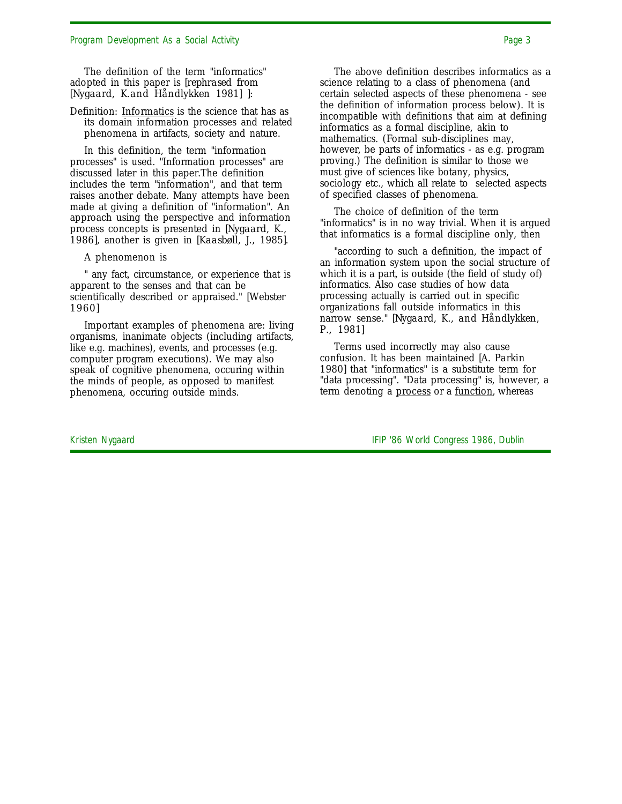The definition of the term "informatics" adopted in this paper is *[rephrased from [Nygaard, K.and Håndlykken 1981] ]*:

Definition: Informatics is the science that has as its domain information processes and related phenomena in artifacts, society and nature.

In this definition, the term "information processes" is used. "Information processes" are discussed later in this paper.The definition includes the term "information", and that term raises another debate. Many attempts have been made at giving a definition of "information". An approach using the perspective and information process concepts is presented in *[Nygaard, K., 1986]*, another is given in *[Kaasbøll, J., 1985]*.

A phenomenon is

" any fact, circumstance, or experience that is apparent to the senses and that can be scientifically described or appraised." *[Webster 1960]*

Important examples of phenomena are: living organisms, inanimate objects (including artifacts, like e.g. machines), events, and processes (e.g. computer program executions). We may also speak of cognitive phenomena, occuring within the minds of people, as opposed to manifest phenomena, occuring outside minds.

The above definition describes informatics as a science relating to a class of phenomena (and certain selected aspects of these phenomena - see the definition of information process below). It is incompatible with definitions that aim at defining informatics as a formal discipline, akin to mathematics. (Formal sub-disciplines may, however, be parts of informatics - as e.g. program proving.) The definition is similar to those we must give of sciences like botany, physics, sociology etc., which all relate to selected aspects of specified classes of phenomena.

The choice of definition of the term "informatics" is in no way trivial. When it is argued that informatics is a formal discipline only, then

"according to such a definition, the impact of an information system upon the social structure of which it is a part, is outside (the field of study of) informatics. Also case studies of how data processing actually is carried out in specific organizations fall outside informatics in this narrow sense." *[Nygaard, K., and Håndlykken, P., 1981]*

Terms used incorrectly may also cause confusion. It has been maintained *[A. Parkin 1980]* that "informatics" is a substitute term for "data processing". "Data processing" is, however, a term denoting a process or a function, whereas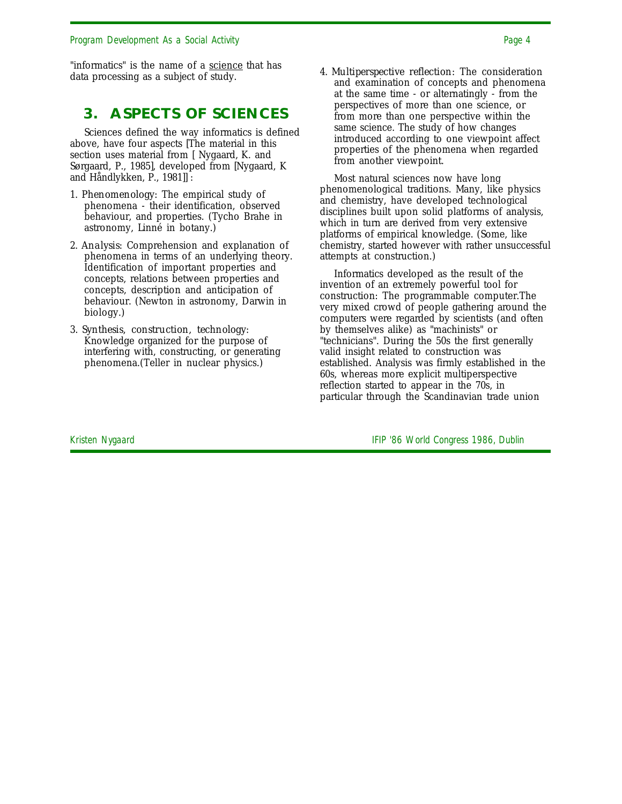"informatics" is the name of a science that has data processing as a subject of study.

### **3. ASPECTS OF SCIENCES**

Sciences defined the way informatics is defined above, have four aspects [The material in this section uses material from [ Nygaard, K. and Sørgaard, P., 1985], developed from [Nygaard, K and Håndlykken, P., 1981]] :

- 1. *Phenomenology:* The empirical study of phenomena - their identification, observed behaviour, and properties. (Tycho Brahe in astronomy, Linné in botany.)
- 2. *Analysis:* Comprehension and explanation of phenomena in terms of an underlying theory. Identification of important properties and concepts, relations between properties and concepts, description and anticipation of behaviour. (Newton in astronomy, Darwin in biology.)
- 3. *Synthesis, construction, technology:* Knowledge organized for the purpose of interfering with, constructing, or generating phenomena.(Teller in nuclear physics.)

4. *Multiperspective reflection:* The consideration and examination of concepts and phenomena at the same time - or alternatingly - from the perspectives of more than one science, or from more than one perspective within the same science. The study of how changes introduced according to one viewpoint affect properties of the phenomena when regarded from another viewpoint.

Most natural sciences now have long phenomenological traditions. Many, like physics and chemistry, have developed technological disciplines built upon solid platforms of analysis, which in turn are derived from very extensive platforms of empirical knowledge. (Some, like chemistry, started however with rather unsuccessful attempts at construction.)

Informatics developed as the result of the invention of an extremely powerful tool for construction: The programmable computer.The very mixed crowd of people gathering around the computers were regarded by scientists (and often by themselves alike) as "machinists" or "technicians". During the 50s the first generally valid insight related to construction was established. Analysis was firmly established in the 60s, whereas more explicit multiperspective reflection started to appear in the 70s, in particular through the Scandinavian trade union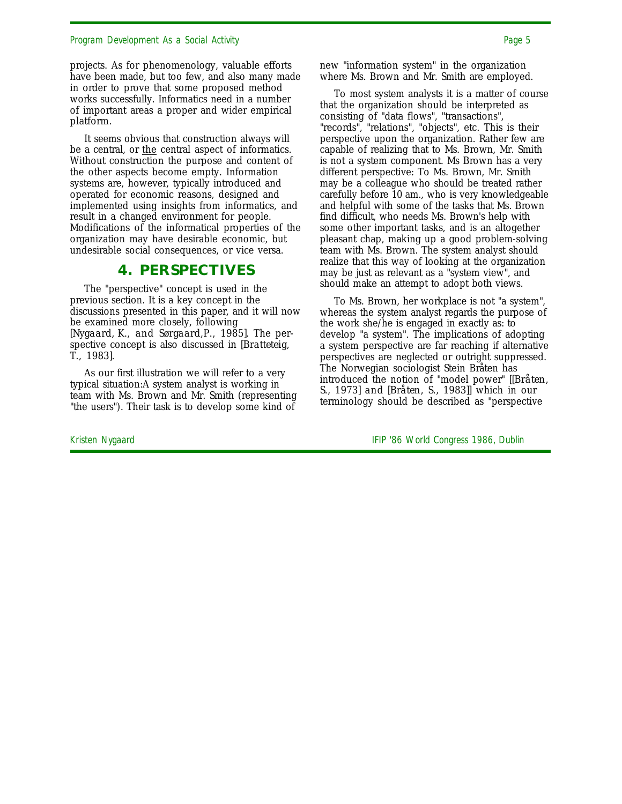projects. As for phenomenology, valuable efforts have been made, but too few, and also many made in order to prove that some proposed method works successfully. Informatics need in a number of important areas a proper and wider empirical platform.

It seems obvious that construction always will be a central, or the central aspect of informatics. Without construction the purpose and content of the other aspects become empty. Information systems are, however, typically introduced and operated for economic reasons, designed and implemented using insights from informatics, and result in a changed environment for people. Modifications of the informatical properties of the organization may have desirable economic, but undesirable social consequences, or vice versa.

### **4. PERSPECTIVES**

The "perspective" concept is used in the previous section. It is a key concept in the discussions presented in this paper, and it will now be examined more closely, following *[Nygaard, K., and Sørgaard,P., 1985]*. The perspective concept is also discussed in *[Bratteteig, T., 1983]*.

As our first illustration we will refer to a very typical situation:A system analyst is working in team with Ms. Brown and Mr. Smith (representing "the users"). Their task is to develop some kind of

new "information system" in the organization where Ms. Brown and Mr. Smith are employed.

To most system analysts it is a matter of course that the organization should be interpreted as consisting of "data flows", "transactions", "records", "relations", "objects", etc. This is their perspective upon the organization. Rather few are capable of realizing that to Ms. Brown, Mr. Smith is not a system component. Ms Brown has a very different perspective: To Ms. Brown, Mr. Smith may be a colleague who should be treated rather carefully before 10 am., who is very knowledgeable and helpful with some of the tasks that Ms. Brown find difficult, who needs Ms. Brown's help with some other important tasks, and is an altogether pleasant chap, making up a good problem-solving team with Ms. Brown. The system analyst should realize that this way of looking at the organization may be just as relevant as a "system view", and should make an attempt to adopt both views.

To Ms. Brown, her workplace is not "a system", whereas the system analyst regards the purpose of the work she/he is engaged in exactly as: to develop "a system". The implications of adopting a system perspective are far reaching if alternative perspectives are neglected or outright suppressed. The Norwegian sociologist Stein Bråten has introduced the notion of "model power" *[[Bråten, S., 1973] and [Bråten, S., 1983]]* which in our terminology should be described as "perspective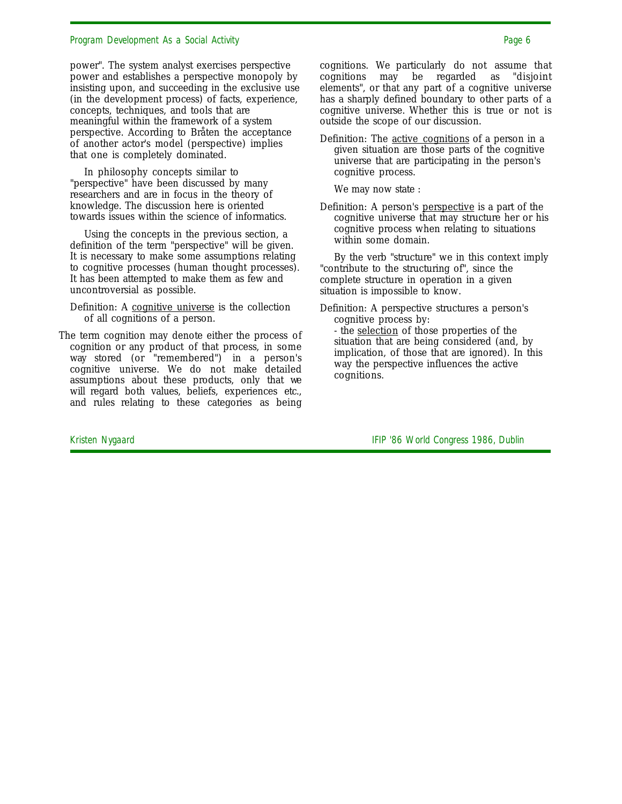power". The system analyst exercises perspective power and establishes a perspective monopoly by insisting upon, and succeeding in the exclusive use (in the development process) of facts, experience, concepts, techniques, and tools that are meaningful within the framework of a system perspective. According to Bråten the acceptance of another actor's model (perspective) implies that one is completely dominated.

In philosophy concepts similar to "perspective" have been discussed by many researchers and are in focus in the theory of knowledge. The discussion here is oriented towards issues within the science of informatics.

Using the concepts in the previous section, a definition of the term "perspective" will be given. It is necessary to make some assumptions relating to cognitive processes (human thought processes). It has been attempted to make them as few and uncontroversial as possible.

Definition: A cognitive universe is the collection of all cognitions of a person.

The term cognition may denote either the process of cognition or any product of that process, in some way stored (or "remembered") in a person's cognitive universe. We do not make detailed assumptions about these products, only that we will regard both values, beliefs, experiences etc., and rules relating to these categories as being cognitions. We particularly do not assume that cognitions may be regarded as "disjoint elements", or that any part of a cognitive universe has a sharply defined boundary to other parts of a cognitive universe. Whether this is true or not is outside the scope of our discussion.

Definition: The active cognitions of a person in a given situation are those parts of the cognitive universe that are participating in the person's cognitive process.

We may now state :

Definition: A person's perspective is a part of the cognitive universe that may structure her or his cognitive process when relating to situations within some domain.

By the verb "structure" we in this context imply "contribute to the structuring of", since the complete structure in operation in a given situation is impossible to know.

Definition: A perspective structures a person's cognitive process by:

- the selection of those properties of the situation that are being considered (and, by implication, of those that are ignored). In this way the perspective influences the active cognitions.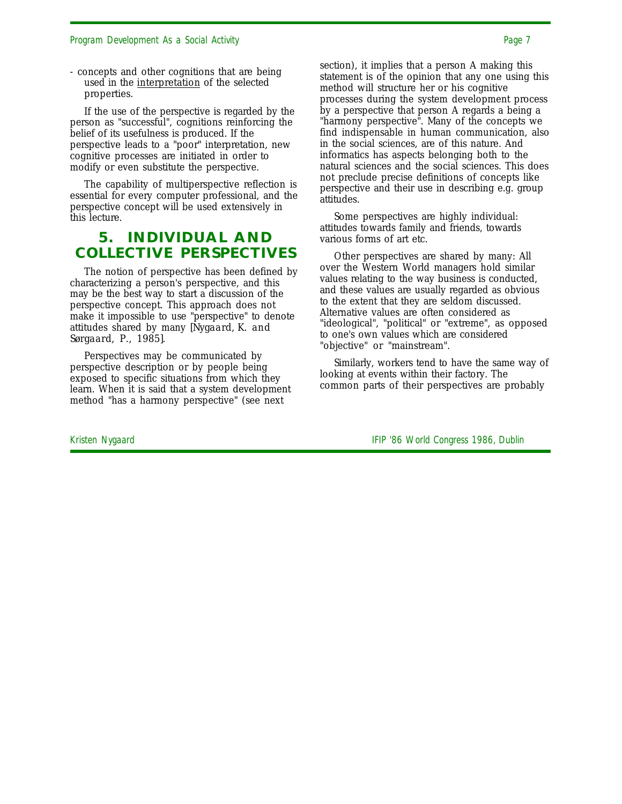- concepts and other cognitions that are being used in the interpretation of the selected properties.

If the use of the perspective is regarded by the person as "successful", cognitions reinforcing the belief of its usefulness is produced. If the perspective leads to a "poor" interpretation, new cognitive processes are initiated in order to modify or even substitute the perspective.

The capability of multiperspective reflection is essential for every computer professional, and the perspective concept will be used extensively in this lecture.

### **5. INDIVIDUAL AND COLLECTIVE PERSPECTIVES**

The notion of perspective has been defined by characterizing a person's perspective, and this may be the best way to start a discussion of the perspective concept. This approach does not make it impossible to use "perspective" to denote attitudes shared by many *[Nygaard, K. and Sørgaard, P., 1985]*.

Perspectives may be communicated by perspective description or by people being exposed to specific situations from which they learn. When it is said that a system development method "has a harmony perspective" (see next

section), it implies that a person A making this statement is of the opinion that any one using this method will structure her or his cognitive processes during the system development process by a perspective that person A regards a being a "harmony perspective". Many of the concepts we find indispensable in human communication, also in the social sciences, are of this nature. And informatics has aspects belonging both to the natural sciences and the social sciences. This does not preclude precise definitions of concepts like perspective and their use in describing e.g. group attitudes.

Some perspectives are highly individual: attitudes towards family and friends, towards various forms of art etc.

Other perspectives are shared by many: All over the Western World managers hold similar values relating to the way business is conducted, and these values are usually regarded as obvious to the extent that they are seldom discussed. Alternative values are often considered as "ideological", "political" or "extreme", as opposed to one's own values which are considered "objective" or "mainstream".

Similarly, workers tend to have the same way of looking at events within their factory. The common parts of their perspectives are probably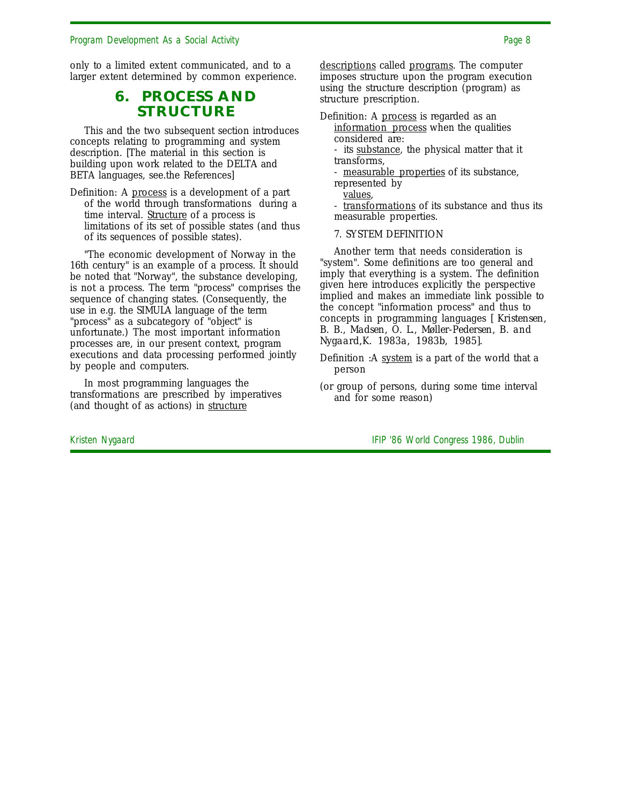only to a limited extent communicated, and to a larger extent determined by common experience.

### **6. PROCESS AND STRUCTURE**

This and the two subsequent section introduces concepts relating to programming and system description. [The material in this section is building upon work related to the DELTA and BETA languages, see.the References]

Definition: A process is a development of a part of the world through transformations during a time interval. Structure of a process is limitations of its set of possible states (and thus of its sequences of possible states).

"The economic development of Norway in the 16th century" is an example of a process. It should be noted that "Norway", the substance developing, is not a process. The term "process" comprises the sequence of changing states. (Consequently, the use in e.g. the SIMULA language of the term "process" as a subcategory of "object" is unfortunate.) The most important information processes are, in our present context, program executions and data processing performed jointly by people and computers.

In most programming languages the transformations are prescribed by imperatives (and thought of as actions) in structure

descriptions called programs. The computer imposes structure upon the program execution using the structure description (program) as structure prescription.

- Definition: A process is regarded as an information process when the qualities considered are:
	- its substance, the physical matter that it transforms,
	- measurable properties of its substance, represented by

values,

- transformations of its substance and thus its measurable properties.

7. SYSTEM DEFINITION

Another term that needs consideration is "system". Some definitions are too general and imply that everything is a system. The definition given here introduces explicitly the perspective implied and makes an immediate link possible to the concept "information process" and thus to concepts in programming languages *[ Kristensen, B. B., Madsen, O. L., Møller-Pedersen, B. and Nygaard,K. 1983a, 1983b, 1985].*

- Definition :A system is a part of the world that a person
- (or group of persons, during some time interval and for some reason)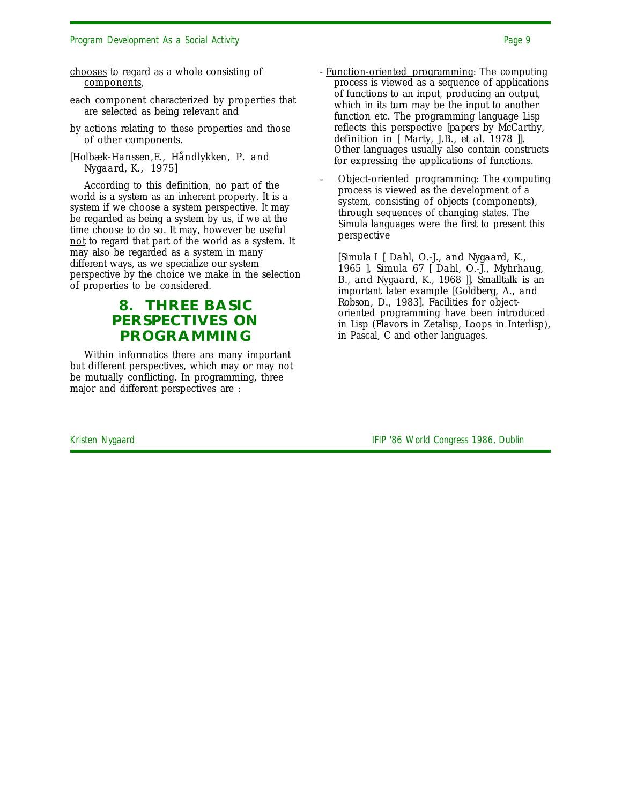- each component characterized by properties that are selected as being relevant and
- by actions relating to these properties and those of other components.
- *[Holbæk-Hanssen,E., Håndlykken, P. and Nygaard, K., 1975]*

According to this definition, no part of the world is a system as an inherent property. It is a system if we choose a system perspective. It may be regarded as being a system by us, if we at the time choose to do so. It may, however be useful not to regard that part of the world as a system. It may also be regarded as a system in many different ways, as we specialize our system perspective by the choice we make in the selection of properties to be considered.

## **8. THREE BASIC PERSPECTIVES ON PROGRAMMING**

Within informatics there are many important but different perspectives, which may or may not be mutually conflicting. In programming, three major and different perspectives are :

- Function-oriented programming: The computing process is viewed as a sequence of applications of functions to an input, producing an output, which in its turn may be the input to another function etc. The programming language Lisp reflects this perspective *[papers by McCarthy, definition in [ Marty, J.B., et al. 1978 ]]*. Other languages usually also contain constructs for expressing the applications of functions.
- Object-oriented programming: The computing process is viewed as the development of a system, consisting of objects (components), through sequences of changing states. The Simula languages were the first to present this perspective

[Simula I *[ Dahl, O.-J., and Nygaard, K., 1965 ], Simula 67 [ Dahl, O.-J., Myhrhaug, B., and Nygaard, K., 1968 ]]*. Smalltalk is an important later example *[Goldberg, A., and Robson, D., 1983]*. Facilities for objectoriented programming have been introduced in Lisp (Flavors in Zetalisp, Loops in Interlisp), in Pascal, C and other languages.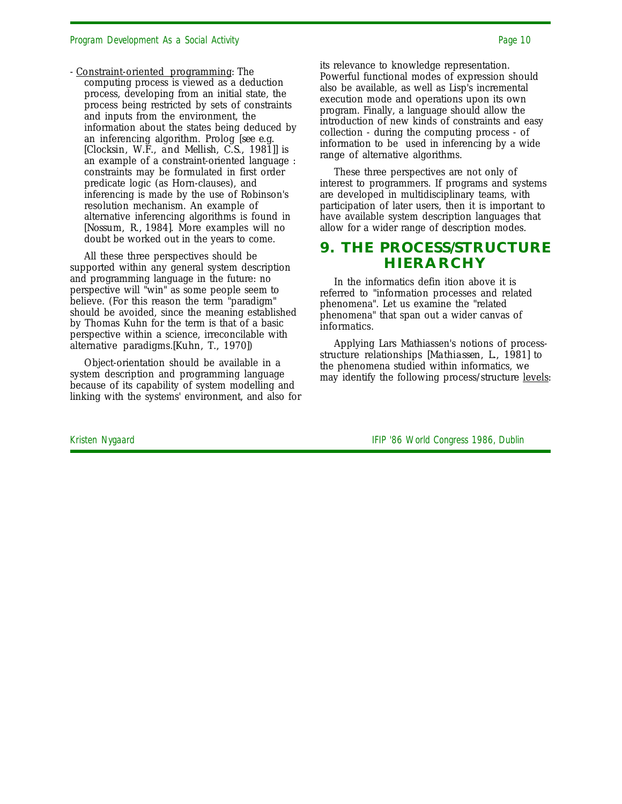- Constraint-oriented programming: The computing process is viewed as a deduction process, developing from an initial state, the process being restricted by sets of constraints and inputs from the environment, the information about the states being deduced by an inferencing algorithm. Prolog *[see e.g. [Clocksin, W.F., and Mellish, C.S., 1981]]* is an example of a constraint-oriented language : constraints may be formulated in first order predicate logic (as Horn-clauses), and inferencing is made by the use of Robinson's resolution mechanism. An example of alternative inferencing algorithms is found in *[Nossum, R., 1984]*. More examples will no doubt be worked out in the years to come.

All these three perspectives should be supported within any general system description and programming language in the future: no perspective will "win" as some people seem to believe. (For this reason the term "paradigm" should be avoided, since the meaning established by Thomas Kuhn for the term is that of a basic perspective within a science, irreconcilable with alternative paradigms.*[Kuhn, T., 1970]*)

Object-orientation should be available in a system description and programming language because of its capability of system modelling and linking with the systems' environment, and also for its relevance to knowledge representation. Powerful functional modes of expression should also be available, as well as Lisp's incremental execution mode and operations upon its own program. Finally, a language should allow the introduction of new kinds of constraints and easy collection - during the computing process - of information to be used in inferencing by a wide range of alternative algorithms.

These three perspectives are not only of interest to programmers. If programs and systems are developed in multidisciplinary teams, with participation of later users, then it is important to have available system description languages that allow for a wider range of description modes.

### **9. THE PROCESS/STRUCTURE HIERARCHY**

In the informatics defin ition above it is referred to "information processes and related phenomena". Let us examine the "related phenomena" that span out a wider canvas of informatics.

Applying Lars Mathiassen's notions of processstructure relationships *[Mathiassen, L., 1981]* to the phenomena studied within informatics, we may identify the following process/structure <u>levels</u>: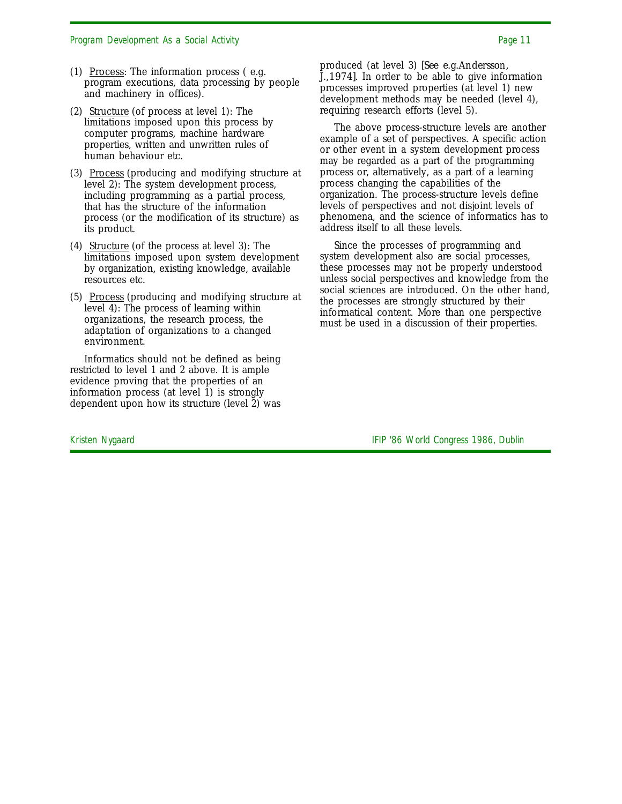- (1) Process: The information process  $($ e.g. program executions, data processing by people and machinery in offices).
- (2) Structure (of process at level 1): The limitations imposed upon this process by computer programs, machine hardware properties, written and unwritten rules of human behaviour etc.
- (3) Process (producing and modifying structure at level 2): The system development process, including programming as a partial process, that has the structure of the information process (or the modification of its structure) as its product.
- (4) Structure (of the process at level 3): The limitations imposed upon system development by organization, existing knowledge, available resources etc.
- (5) Process (producing and modifying structure at level 4): The process of learning within organizations, the research process, the adaptation of organizations to a changed environment.

Informatics should not be defined as being restricted to level 1 and 2 above. It is ample evidence proving that the properties of an information process (at level 1) is strongly dependent upon how its structure (level 2) was

produced (at level 3) *[See e.g.Andersson, J.,1974]*. In order to be able to give information processes improved properties (at level 1) new development methods may be needed (level 4), requiring research efforts (level 5).

The above process-structure levels are another example of a set of perspectives. A specific action or other event in a system development process may be regarded as a part of the programming process or, alternatively, as a part of a learning process changing the capabilities of the organization. The process-structure levels define levels of perspectives and not disjoint levels of phenomena, and the science of informatics has to address itself to all these levels.

Since the processes of programming and system development also are social processes, these processes may not be properly understood unless social perspectives and knowledge from the social sciences are introduced. On the other hand, the processes are strongly structured by their informatical content. More than one perspective must be used in a discussion of their properties.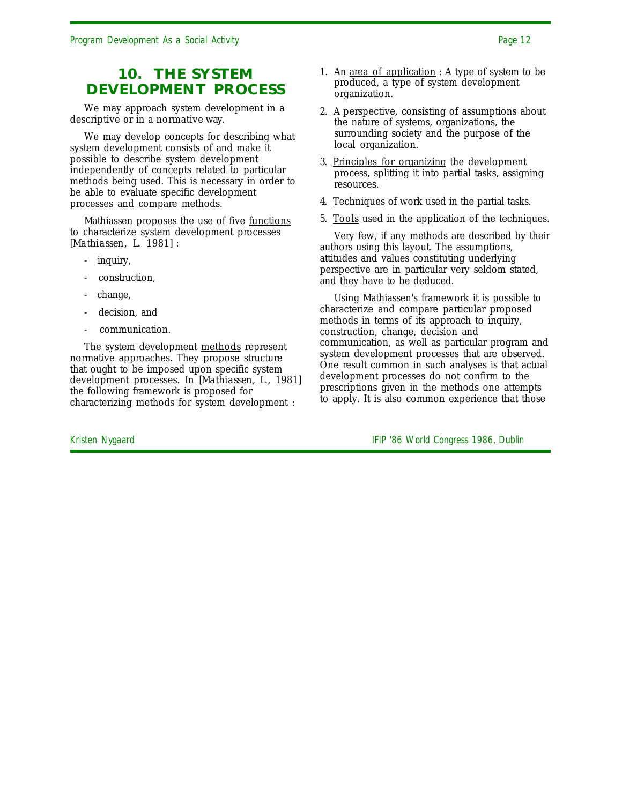### **10. THE SYSTEM DEVELOPMENT PROCESS**

We may approach system development in a descriptive or in a normative way.

We may develop concepts for describing what system development consists of and make it possible to describe system development independently of concepts related to particular methods being used. This is necessary in order to be able to evaluate specific development processes and compare methods.

Mathiassen proposes the use of five functions to characterize system development processes *[Mathiassen, L. 1981]* :

- inquiry,
- construction,
- change,
- decision, and
- communication.

The system development methods represent normative approaches. They propose structure that ought to be imposed upon specific system development processes. In *[Mathiassen, L., 1981]* the following framework is proposed for characterizing methods for system development :

- 1. An <u>area of application</u> : A type of system to be produced, a type of system development organization.
- 2. A perspective, consisting of assumptions about the nature of systems, organizations, the surrounding society and the purpose of the local organization.
- 3. Principles for organizing the development process, splitting it into partial tasks, assigning resources.
- 4. Techniques of work used in the partial tasks.
- 5. Tools used in the application of the techniques.

Very few, if any methods are described by their authors using this layout. The assumptions, attitudes and values constituting underlying perspective are in particular very seldom stated, and they have to be deduced.

Using Mathiassen's framework it is possible to characterize and compare particular proposed methods in terms of its approach to inquiry, construction, change, decision and communication, as well as particular program and system development processes that are observed. One result common in such analyses is that actual development processes do not confirm to the prescriptions given in the methods one attempts to apply. It is also common experience that those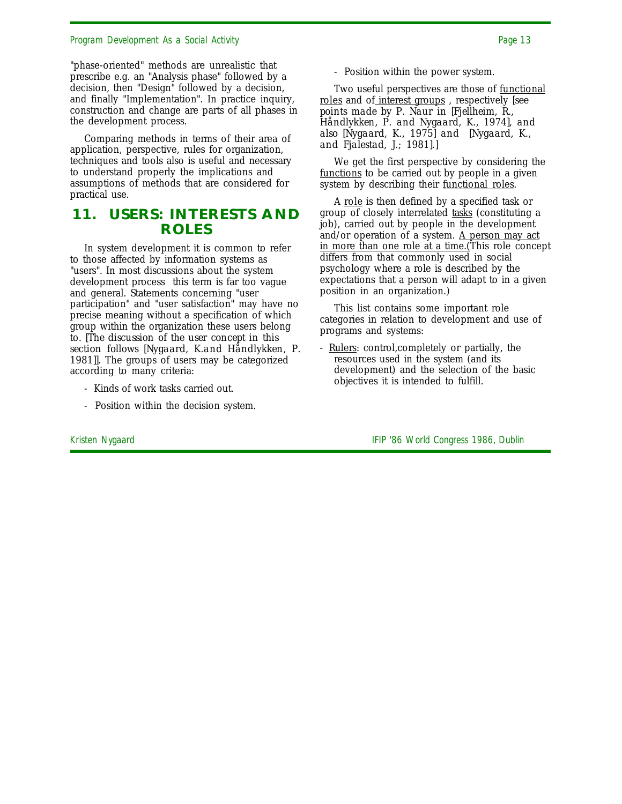"phase-oriented" methods are unrealistic that prescribe e.g. an "Analysis phase" followed by a decision, then "Design" followed by a decision, and finally "Implementation". In practice inquiry, construction and change are parts of all phases in the development process.

Comparing methods in terms of their area of application, perspective, rules for organization, techniques and tools also is useful and necessary to understand properly the implications and assumptions of methods that are considered for practical use.

### **11. USERS: INTERESTS AND ROLES**

In system development it is common to refer to those affected by information systems as "users". In most discussions about the system development process this term is far too vague and general. Statements concerning "user participation" and "user satisfaction" may have no precise meaning without a specification of which group within the organization these users belong to. *[The discussion of the user concept in this section follows [Nygaard, K.and Håndlykken, P.* 1981]]. The groups of users may be categorized according to many criteria:

- Kinds of work tasks carried out.
- Position within the decision system.

- Position within the power system.

Two useful perspectives are those of functional roles and of interest groups , respectively *[see points made by P. Naur in [Fjellheim, R., Håndlykken, P. and Nygaard, K., 1974], and also [Nygaard, K., 1975] and [Nygaard, K., and Fjalestad, J.; 1981]*.]

We get the first perspective by considering the functions to be carried out by people in a given system by describing their <u>functional roles</u>.

A role is then defined by a specified task or group of closely interrelated tasks (constituting a job), carried out by people in the development and/or operation of a system. A person may act in more than one role at a time. (This role concept differs from that commonly used in social psychology where a role is described by the expectations that a person will adapt to in a given position in an organization.)

This list contains some important role categories in relation to development and use of programs and systems:

- Rulers: control, completely or partially, the resources used in the system (and its development) and the selection of the basic objectives it is intended to fulfill.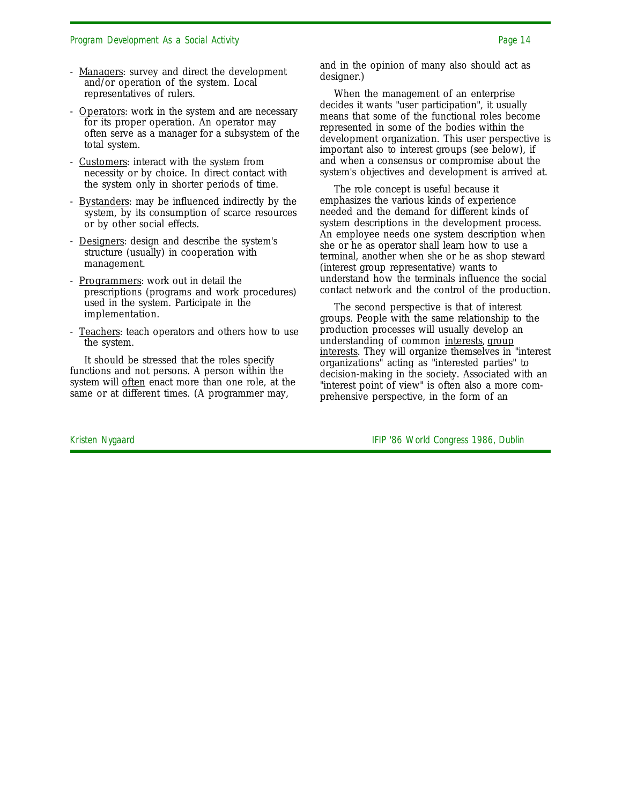- Managers: survey and direct the development and/or operation of the system. Local representatives of rulers.
- Operators: work in the system and are necessary for its proper operation. An operator may often serve as a manager for a subsystem of the total system.
- Customers: interact with the system from necessity or by choice. In direct contact with the system only in shorter periods of time.
- Bystanders: may be influenced indirectly by the system, by its consumption of scarce resources or by other social effects.
- Designers: design and describe the system's structure (usually) in cooperation with management.
- Programmers: work out in detail the prescriptions (programs and work procedures) used in the system. Participate in the implementation.
- Teachers: teach operators and others how to use the system.

It should be stressed that the roles specify functions and not persons. A person within the system will <u>often</u> enact more than one role, at the same or at different times. (A programmer may,

and in the opinion of many also should act as designer.)

When the management of an enterprise decides it wants "user participation", it usually means that some of the functional roles become represented in some of the bodies within the development organization. This user perspective is important also to interest groups (see below), if and when a consensus or compromise about the system's objectives and development is arrived at.

The role concept is useful because it emphasizes the various kinds of experience needed and the demand for different kinds of system descriptions in the development process. An employee needs one system description when she or he as operator shall learn how to use a terminal, another when she or he as shop steward (interest group representative) wants to understand how the terminals influence the social contact network and the control of the production.

The second perspective is that of interest groups. People with the same relationship to the production processes will usually develop an understanding of common interests, group interests. They will organize themselves in "interest organizations" acting as "interested parties" to decision-making in the society. Associated with an "interest point of view" is often also a more comprehensive perspective, in the form of an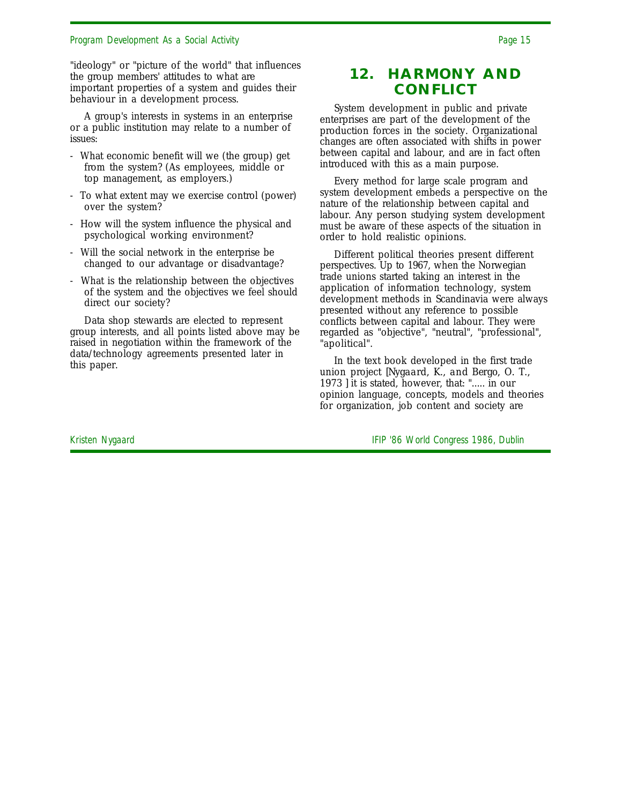"ideology" or "picture of the world" that influences the group members' attitudes to what are important properties of a system and guides their behaviour in a development process.

A group's interests in systems in an enterprise or a public institution may relate to a number of issues:

- What economic benefit will we (the group) get from the system? (As employees, middle or top management, as employers.)
- To what extent may we exercise control (power) over the system?
- How will the system influence the physical and psychological working environment?
- Will the social network in the enterprise be changed to our advantage or disadvantage?
- What is the relationship between the objectives of the system and the objectives we feel should direct our society?

Data shop stewards are elected to represent group interests, and all points listed above may be raised in negotiation within the framework of the data/technology agreements presented later in this paper.

### **12. HARMONY AND CONFLICT**

System development in public and private enterprises are part of the development of the production forces in the society. Organizational changes are often associated with shifts in power between capital and labour, and are in fact often introduced with this as a main purpose.

Every method for large scale program and system development embeds a perspective on the nature of the relationship between capital and labour. Any person studying system development must be aware of these aspects of the situation in order to hold realistic opinions.

Different political theories present different perspectives. Up to 1967, when the Norwegian trade unions started taking an interest in the application of information technology, system development methods in Scandinavia were always presented without any reference to possible conflicts between capital and labour. They were regarded as "objective", "neutral", "professional", "apolitical".

In the text book developed in the first trade union project *[Nygaard, K., and Bergo, O. T., 1973 ]* it is stated, however, that: "..... in our opinion language, concepts, models and theories for organization, job content and society are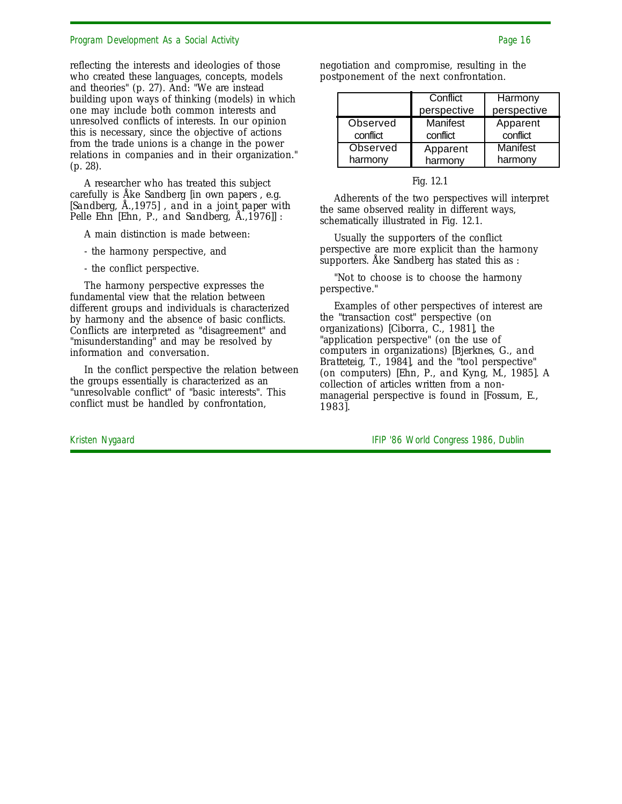reflecting the interests and ideologies of those who created these languages, concepts, models and theories" (p. 27). And: "We are instead building upon ways of thinking (models) in which one may include both common interests and unresolved conflicts of interests. In our opinion this is necessary, since the objective of actions from the trade unions is a change in the power relations in companies and in their organization." (p. 28).

A researcher who has treated this subject carefully is Åke Sandberg *[in own papers , e.g. [Sandberg, Å.,1975] , and in a joint paper with Pelle Ehn [Ehn, P., and Sandberg, Å.,1976]]* :

A main distinction is made between:

- the harmony perspective, and
- the conflict perspective.

The harmony perspective expresses the fundamental view that the relation between different groups and individuals is characterized by harmony and the absence of basic conflicts. Conflicts are interpreted as "disagreement" and "misunderstanding" and may be resolved by information and conversation.

In the conflict perspective the relation between the groups essentially is characterized as an "unresolvable conflict" of "basic interests". This conflict must be handled by confrontation,

negotiation and compromise, resulting in the postponement of the next confrontation.

|          | Conflict<br>perspective | Harmony<br>perspective |
|----------|-------------------------|------------------------|
| Observed | Manifest                | Apparent               |
| conflict | conflict                | conflict               |
| Observed | Apparent                | Manifest               |
| harmony  | harmony                 | harmony                |

| ۲ισ |  |
|-----|--|
|     |  |

Adherents of the two perspectives will interpret the same observed reality in different ways, schematically illustrated in Fig. 12.1.

Usually the supporters of the conflict perspective are more explicit than the harmony supporters. Åke Sandberg has stated this as :

"Not to choose is to choose the harmony perspective."

Examples of other perspectives of interest are the "transaction cost" perspective (on organizations) *[Ciborra, C., 1981]*, the "application perspective" (on the use of computers in organizations) *[Bjerknes, G., and Bratteteig, T., 1984]*, and the "tool perspective" (on computers) *[Ehn, P., and Kyng, M., 1985]*. A collection of articles written from a nonmanagerial perspective is found in *[Fossum, E., 1983]*.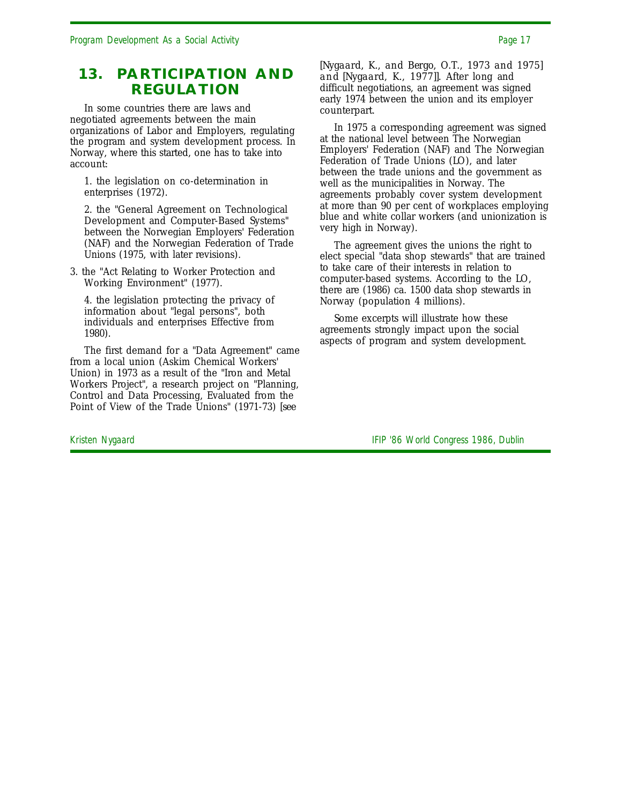### **13. PARTICIPATION AND REGULATION**

In some countries there are laws and negotiated agreements between the main organizations of Labor and Employers, regulating the program and system development process. In Norway, where this started, one has to take into account:

1. the legislation on co-determination in enterprises (1972).

2. the "General Agreement on Technological Development and Computer-Based Systems" between the Norwegian Employers' Federation (NAF) and the Norwegian Federation of Trade Unions (1975, with later revisions).

3. the "Act Relating to Worker Protection and Working Environment" (1977).

4. the legislation protecting the privacy of information about "legal persons", both individuals and enterprises Effective from 1980).

The first demand for a "Data Agreement" came from a local union (Askim Chemical Workers' Union) in 1973 as a result of the "Iron and Metal Workers Project", a research project on "Planning, Control and Data Processing, Evaluated from the Point of View of the Trade Unions" (1971-73) *[see*

*[Nygaard, K., and Bergo, O.T., 1973 and 1975] and [Nygaard, K., 1977]].* After long and difficult negotiations, an agreement was signed early 1974 between the union and its employer counterpart.

In 1975 a corresponding agreement was signed at the national level between The Norwegian Employers' Federation (NAF) and The Norwegian Federation of Trade Unions (LO), and later between the trade unions and the government as well as the municipalities in Norway. The agreements probably cover system development at more than 90 per cent of workplaces employing blue and white collar workers (and unionization is very high in Norway).

The agreement gives the unions the right to elect special "data shop stewards" that are trained to take care of their interests in relation to computer-based systems. According to the LO, there are (1986) ca. 1500 data shop stewards in Norway (population 4 millions).

Some excerpts will illustrate how these agreements strongly impact upon the social aspects of program and system development.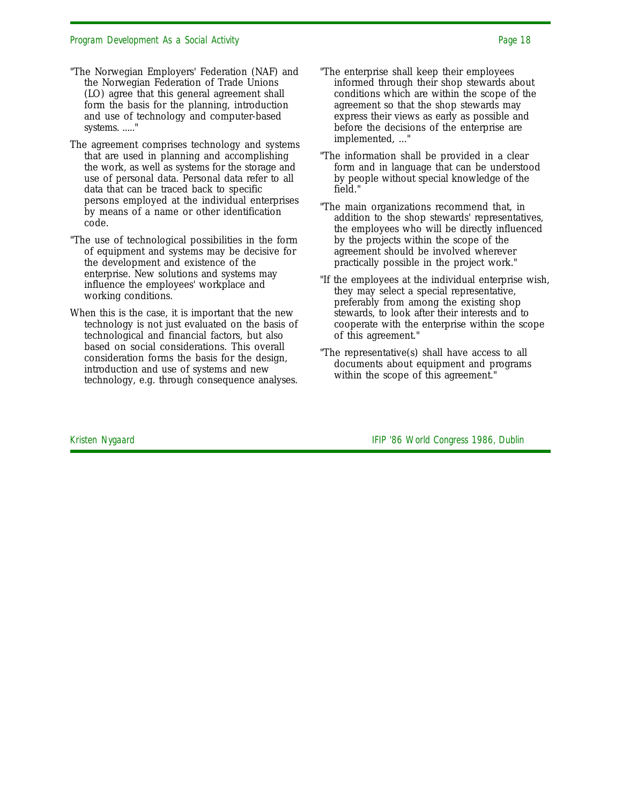- "The Norwegian Employers' Federation (NAF) and the Norwegian Federation of Trade Unions (LO) agree that this general agreement shall form the basis for the planning, introduction and use of technology and computer-based systems. ....."
- The agreement comprises technology and systems that are used in planning and accomplishing the work, as well as systems for the storage and use of personal data. Personal data refer to all data that can be traced back to specific persons employed at the individual enterprises by means of a name or other identification code.
- "The use of technological possibilities in the form of equipment and systems may be decisive for the development and existence of the enterprise. New solutions and systems may influence the employees' workplace and working conditions.
- When this is the case, it is important that the new technology is not just evaluated on the basis of technological and financial factors, but also based on social considerations. This overall consideration forms the basis for the design, introduction and use of systems and new technology, e.g. through consequence analyses.
- "The enterprise shall keep their employees informed through their shop stewards about conditions which are within the scope of the agreement so that the shop stewards may express their views as early as possible and before the decisions of the enterprise are implemented, ..."
- "The information shall be provided in a clear form and in language that can be understood by people without special knowledge of the field."
- "The main organizations recommend that, in addition to the shop stewards' representatives, the employees who will be directly influenced by the projects within the scope of the agreement should be involved wherever practically possible in the project work."
- "If the employees at the individual enterprise wish, they may select a special representative, preferably from among the existing shop stewards, to look after their interests and to cooperate with the enterprise within the scope of this agreement."
- "The representative(s) shall have access to all documents about equipment and programs within the scope of this agreement."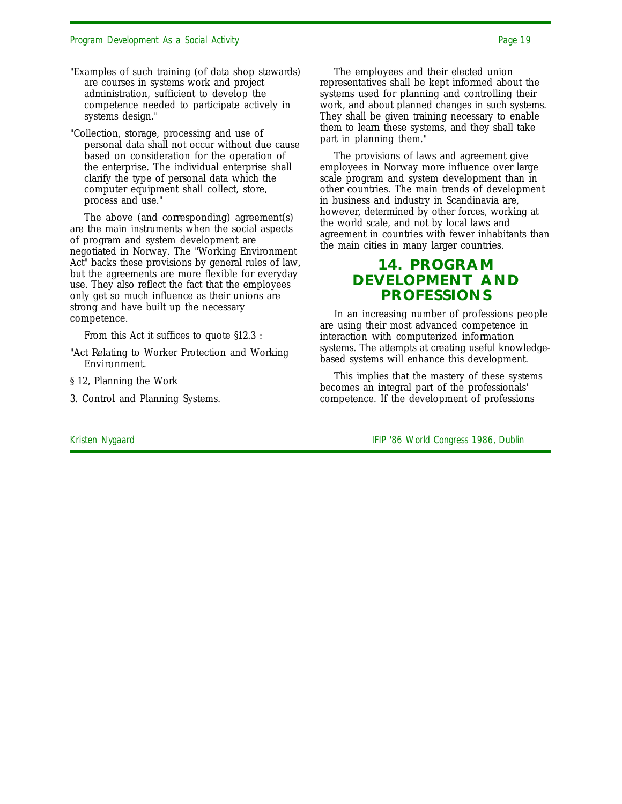- "Examples of such training (of data shop stewards) are courses in systems work and project administration, sufficient to develop the competence needed to participate actively in systems design."
- "Collection, storage, processing and use of personal data shall not occur without due cause based on consideration for the operation of the enterprise. The individual enterprise shall clarify the type of personal data which the computer equipment shall collect, store, process and use."

The above (and corresponding) agreement(s) are the main instruments when the social aspects of program and system development are negotiated in Norway. The "Working Environment Act" backs these provisions by general rules of law, but the agreements are more flexible for everyday use. They also reflect the fact that the employees only get so much influence as their unions are strong and have built up the necessary competence.

From this Act it suffices to quote §12.3 :

- "Act Relating to Worker Protection and Working Environment.
- § 12, Planning the Work
- 3. Control and Planning Systems.

The employees and their elected union representatives shall be kept informed about the systems used for planning and controlling their work, and about planned changes in such systems. They shall be given training necessary to enable them to learn these systems, and they shall take part in planning them."

The provisions of laws and agreement give employees in Norway more influence over large scale program and system development than in other countries. The main trends of development in business and industry in Scandinavia are, however, determined by other forces, working at the world scale, and not by local laws and agreement in countries with fewer inhabitants than the main cities in many larger countries.

### **14. PROGRAM DEVELOPMENT AND PROFESSIONS**

In an increasing number of professions people are using their most advanced competence in interaction with computerized information systems. The attempts at creating useful knowledgebased systems will enhance this development.

This implies that the mastery of these systems becomes an integral part of the professionals' competence. If the development of professions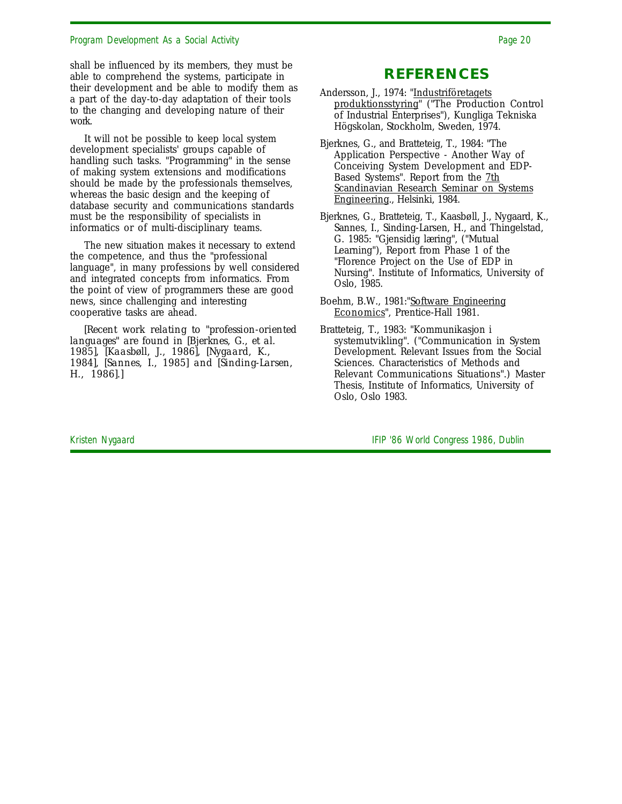shall be influenced by its members, they must be able to comprehend the systems, participate in their development and be able to modify them as a part of the day-to-day adaptation of their tools to the changing and developing nature of their work.

It will not be possible to keep local system development specialists' groups capable of handling such tasks. "Programming" in the sense of making system extensions and modifications should be made by the professionals themselves, whereas the basic design and the keeping of database security and communications standards must be the responsibility of specialists in informatics or of multi-disciplinary teams.

The new situation makes it necessary to extend the competence, and thus the "professional language", in many professions by well considered and integrated concepts from informatics. From the point of view of programmers these are good news, since challenging and interesting cooperative tasks are ahead.

*[Recent work relating to "profession-oriented languages" are found in [Bjerknes, G., et al. 1985], [Kaasbøll, J., 1986], [Nygaard, K., 1984], [Sannes, I., 1985] and [Sinding-Larsen, H., 1986].]*

### **REFERENCES**

Andersson, J., 1974: "Industriföretagets produktionsstyring" ("The Production Control of Industrial Enterprises"), Kungliga Tekniska Högskolan, Stockholm, Sweden, 1974.

Bjerknes, G., and Bratteteig, T., 1984: "The Application Perspective - Another Way of Conceiving System Development and EDP-Based Systems". Report from the 7th Scandinavian Research Seminar on Systems Engineering., Helsinki, 1984.

Bjerknes, G., Bratteteig, T., Kaasbøll, J., Nygaard, K., Sannes, I., Sinding-Larsen, H., and Thingelstad, G. 1985: "Gjensidig læring", ("Mutual Learning"), Report from Phase 1 of the "Florence Project on the Use of EDP in Nursing". Institute of Informatics, University of Oslo, 1985.

- Boehm, B.W., 1981:"Software Engineering Economics", Prentice-Hall 1981.
- Bratteteig, T., 1983: "Kommunikasjon i systemutvikling". ("Communication in System Development. Relevant Issues from the Social Sciences. Characteristics of Methods and Relevant Communications Situations".) Master Thesis, Institute of Informatics, University of Oslo, Oslo 1983.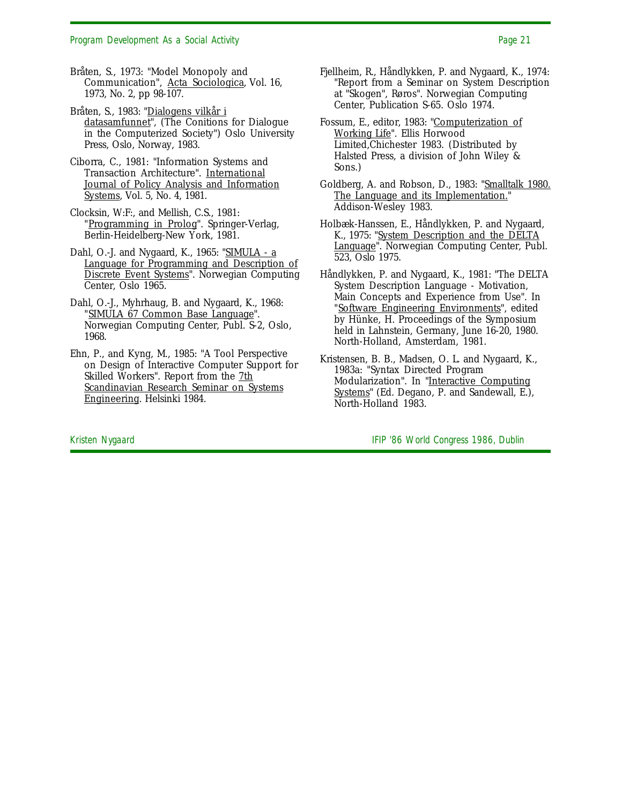Bråten, S., 1973: "Model Monopoly and Communication", Acta Sociologica, Vol. 16, 1973, No. 2, pp 98-107.

Bråten, S., 1983: "Dialogens vilkår i datasamfunnet", (The Conitions for Dialogue in the Computerized Society") Oslo University Press, Oslo, Norway, 1983.

- Ciborra, C., 1981: "Information Systems and Transaction Architecture". International Journal of Policy Analysis and Information Systems, Vol. 5, No. 4, 1981.
- Clocksin, W:F:, and Mellish, C.S., 1981: "Programming in Prolog". Springer-Verlag, Berlin-Heidelberg-New York, 1981.
- Dahl, O.-J. and Nygaard, K., 1965: "SIMULA a Language for Programming and Description of Discrete Event Systems". Norwegian Computing Center, Oslo 1965.
- Dahl, O.-J., Myhrhaug, B. and Nygaard, K., 1968: "SIMULA 67 Common Base Language". Norwegian Computing Center, Publ. S-2, Oslo, 1968.
- Ehn, P., and Kyng, M., 1985: "A Tool Perspective on Design of Interactive Computer Support for Skilled Workers". Report from the 7th Scandinavian Research Seminar on Systems Engineering. Helsinki 1984.
- Fjellheim, R., Håndlykken, P. and Nygaard, K., 1974: "Report from a Seminar on System Description at "Skogen", Røros". Norwegian Computing Center, Publication S-65. Oslo 1974.
- Fossum, E., editor, 1983: "Computerization of Working Life". Ellis Horwood Limited,Chichester 1983. (Distributed by Halsted Press, a division of John Wiley & Sons.)
- Goldberg, A. and Robson, D., 1983: "Smalltalk 1980. The Language and its Implementation." Addison-Wesley 1983.
- Holbæk-Hanssen, E., Håndlykken, P. and Nygaard, K., 1975: "System Description and the DELTA Language". Norwegian Computing Center, Publ. 523, Oslo 1975.
- Håndlykken, P. and Nygaard, K., 1981: "The DELTA System Description Language - Motivation, Main Concepts and Experience from Use". In "Software Engineering Environments", edited by Hünke, H. Proceedings of the Symposium held in Lahnstein, Germany, June 16-20, 1980. North-Holland, Amsterdam, 1981.
- Kristensen, B. B., Madsen, O. L. and Nygaard, K., 1983a: "Syntax Directed Program Modularization". In "Interactive Computing Systems" (Ed. Degano, P. and Sandewall, E.), North-Holland 1983.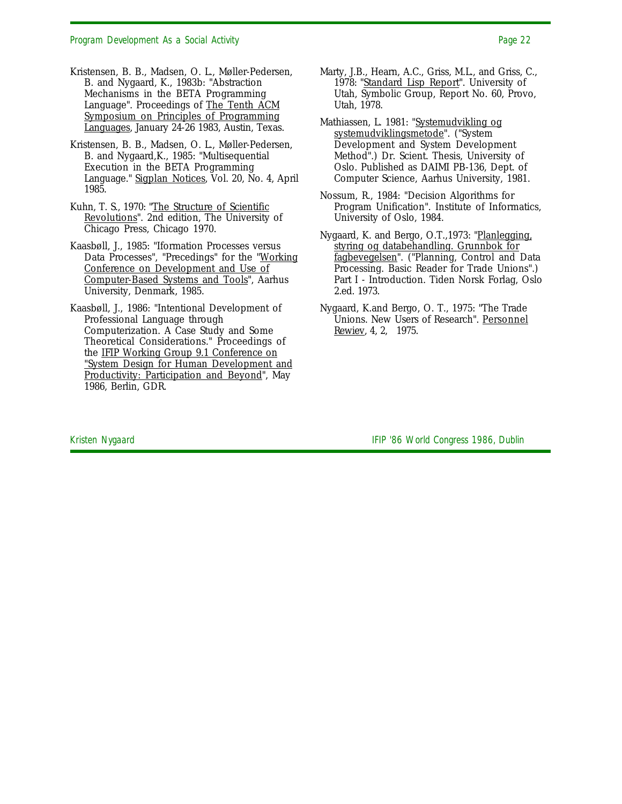- Kristensen, B. B., Madsen, O. L., Møller-Pedersen, B. and Nygaard, K., 1983b: "Abstraction Mechanisms in the BETA Programming Language". Proceedings of The Tenth ACM Symposium on Principles of Programming Languages, January 24-26 1983, Austin, Texas.
- Kristensen, B. B., Madsen, O. L., Møller-Pedersen, B. and Nygaard,K., 1985: "Multisequential Execution in the BETA Programming Language." Sigplan Notices, Vol. 20, No. 4, April 1985.
- Kuhn, T. S., 1970: "The Structure of Scientific Revolutions". 2nd edition, The University of Chicago Press, Chicago 1970.
- Kaasbøll, J., 1985: "Iformation Processes versus Data Processes", "Precedings" for the "Working Conference on Development and Use of Computer-Based Systems and Tools", Aarhus University, Denmark, 1985.
- Kaasbøll, J., 1986: "Intentional Development of Professional Language through Computerization. A Case Study and Some Theoretical Considerations." Proceedings of the IFIP Working Group 9.1 Conference on "System Design for Human Development and Productivity: Participation and Beyond", May 1986, Berlin, GDR.
- Marty, J.B., Hearn, A.C., Griss, M.L., and Griss, C., 1978: "Standard Lisp Report". University of Utah, Symbolic Group, Report No. 60, Provo, Utah, 1978.
- Mathiassen, L. 1981: "Systemudvikling og systemudviklingsmetode". ("System Development and System Development Method".) Dr. Scient. Thesis, University of Oslo. Published as DAIMI PB-136, Dept. of Computer Science, Aarhus University, 1981.
- Nossum, R., 1984: "Decision Algorithms for Program Unification". Institute of Informatics, University of Oslo, 1984.
- Nygaard, K. and Bergo, O.T., 1973: "Planlegging, styring og databehandling. Grunnbok for fagbevegelsen". ("Planning, Control and Data Processing. Basic Reader for Trade Unions".) Part I - Introduction. Tiden Norsk Forlag, Oslo 2.ed. 1973.
- Nygaard, K.and Bergo, O. T., 1975: "The Trade Unions. New Users of Research". Personnel Rewiev, 4, 2, 1975.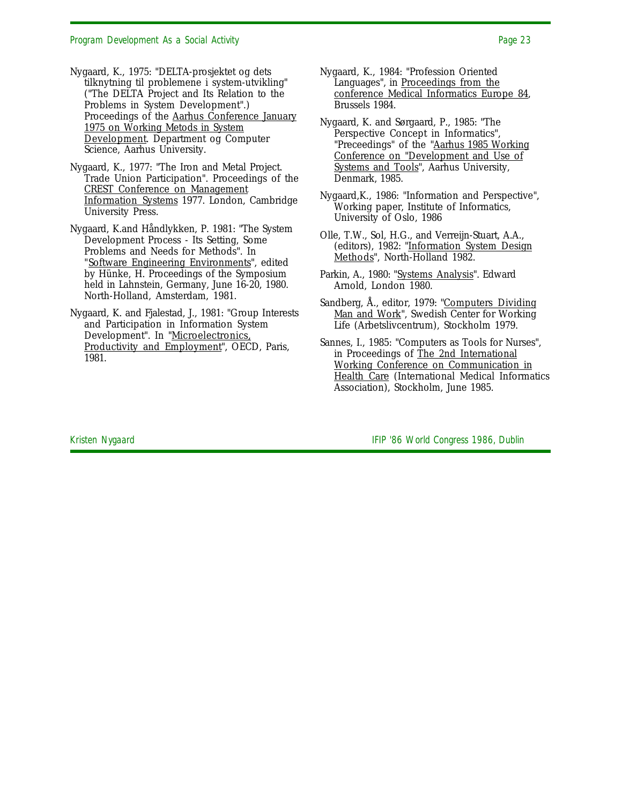- Nygaard, K., 1975: "DELTA-prosjektet og dets tilknytning til problemene i system-utvikling" ("The DELTA Project and Its Relation to the Problems in System Development".) Proceedings of the Aarhus Conference January 1975 on Working Metods in System Development. Department og Computer Science, Aarhus University.
- Nygaard, K., 1977: "The Iron and Metal Project. Trade Union Participation". Proceedings of the CREST Conference on Management Information Systems 1977. London, Cambridge University Press.
- Nygaard, K.and Håndlykken, P. 1981: "The System Development Process - Its Setting, Some Problems and Needs for Methods". In "Software Engineering Environments", edited by Hünke, H. Proceedings of the Symposium held in Lahnstein, Germany, June 16-20, 1980. North-Holland, Amsterdam, 1981.
- Nygaard, K. and Fjalestad, J., 1981: "Group Interests and Participation in Information System Development". In "Microelectronics, Productivity and Employment", OECD, Paris, 1981.
- Nygaard, K., 1984: "Profession Oriented Languages", in Proceedings from the conference Medical Informatics Europe 84, Brussels 1984.
- Nygaard, K. and Sørgaard, P., 1985: "The Perspective Concept in Informatics", "Preceedings" of the "Aarhus 1985 Working Conference on "Development and Use of Systems and Tools", Aarhus University, Denmark, 1985.
- Nygaard,K., 1986: "Information and Perspective", Working paper, Institute of Informatics, University of Oslo, 1986
- Olle, T.W., Sol, H.G., and Verreijn-Stuart, A.A., (editors), 1982: "Information System Design Methods", North-Holland 1982.
- Parkin, A., 1980: "Systems Analysis". Edward Arnold, London 1980.
- Sandberg, Å., editor, 1979: "Computers Dividing Man and Work", Swedish Center for Working Life (Arbetslivcentrum), Stockholm 1979.
- Sannes, I., 1985: "Computers as Tools for Nurses", in Proceedings of The 2nd International Working Conference on Communication in Health Care (International Medical Informatics Association), Stockholm, June 1985.